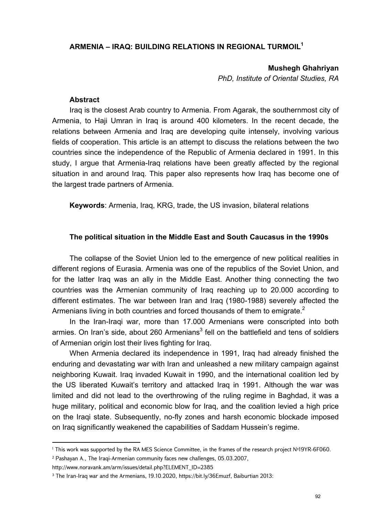## **ARMENIA – IRAQ: BUILDING RELATIONS IN REGIONAL TURMOIL1**

**Mushegh Ghahriyan** 

*PhD, Institute of Oriental Studies, RA* 

#### **Abstract**

Iraq is the closest Arab country to Armenia. From Agarak, the southernmost city of Armenia, to Haji Umran in Iraq is around 400 kilometers. In the recent decade, the relations between Armenia and Iraq are developing quite intensely, involving various fields of cooperation. This article is an attempt to discuss the relations between the two countries since the independence of the Republic of Armenia declared in 1991. In this study, I argue that Armenia-Iraq relations have been greatly affected by the regional situation in and around Iraq. This paper also represents how Iraq has become one of the largest trade partners of Armenia.

**Keywords**: Armenia, Iraq, KRG, trade, the US invasion, bilateral relations

#### **The political situation in the Middle East and South Caucasus in the 1990s**

The collapse of the Soviet Union led to the emergence of new political realities in different regions of Eurasia. Armenia was one of the republics of the Soviet Union, and for the latter Iraq was an ally in the Middle East. Another thing connecting the two countries was the Armenian community of Iraq reaching up to 20.000 according to different estimates. The war between Iran and Iraq (1980-1988) severely affected the Armenians living in both countries and forced thousands of them to emigrate.<sup>2</sup>

In the Iran-Iraqi war, more than 17.000 Armenians were conscripted into both armies. On Iran's side, about 260 Armenians $^3$  fell on the battlefield and tens of soldiers of Armenian origin lost their lives fighting for Iraq.

When Armenia declared its independence in 1991, Iraq had already finished the enduring and devastating war with Iran and unleashed a new military campaign against neighboring Kuwait. Iraq invaded Kuwait in 1990, and the international coalition led by the US liberated Kuwait's territory and attacked Iraq in 1991. Although the war was limited and did not lead to the overthrowing of the ruling regime in Baghdad, it was a huge military, political and economic blow for Iraq, and the coalition levied a high price on the Iraqi state. Subsequently, no-fly zones and harsh economic blockade imposed on Iraq significantly weakened the capabilities of Saddam Hussein's regime.

<sup>1</sup> This work was supported by the RA MES Science Committee, in the frames of the research project №19YR-6F060.

<sup>2</sup> Pashayan A., The Iraqi-Armenian community faces new challenges, 05.03.2007,

http://www.noravank.am/arm/issues/detail.php?ELEMENT\_ID=2385

<sup>3</sup> The Iran-Iraq war and the Armenians, 19.10.2020, https://bit.ly/36Emuzf, Baiburtian 2013: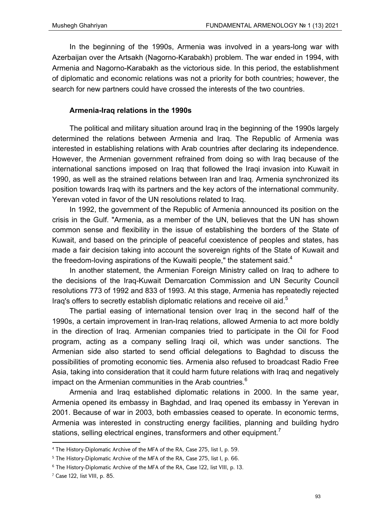In the beginning of the 1990s, Armenia was involved in a years-long war with Azerbaijan over the Artsakh (Nagorno-Karabakh) problem. The war ended in 1994, with Armenia and Nagorno-Karabakh as the victorious side. In this period, the establishment of diplomatic and economic relations was not a priority for both countries; however, the search for new partners could have crossed the interests of the two countries.

## **Armenia-Iraq relations in the 1990s**

The political and military situation around Iraq in the beginning of the 1990s largely determined the relations between Armenia and Iraq. The Republic of Armenia was interested in establishing relations with Arab countries after declaring its independence. However, the Armenian government refrained from doing so with Iraq because of the international sanctions imposed on Iraq that followed the Iraqi invasion into Kuwait in 1990, as well as the strained relations between Iran and Iraq. Armenia synchronized its position towards Iraq with its partners and the key actors of the international community. Yerevan voted in favor of the UN resolutions related to Iraq.

In 1992, the government of the Republic of Armenia announced its position on the crisis in the Gulf. "Armenia, as a member of the UN, believes that the UN has shown common sense and flexibility in the issue of establishing the borders of the State of Kuwait, and based on the principle of peaceful coexistence of peoples and states, has made a fair decision taking into account the sovereign rights of the State of Kuwait and the freedom-loving aspirations of the Kuwaiti people," the statement said. $4$ 

In another statement, the Armenian Foreign Ministry called on Iraq to adhere to the decisions of the Iraq-Kuwait Demarcation Commission and UN Security Council resolutions 773 of 1992 and 833 of 1993. At this stage, Armenia has repeatedly rejected Iraq's offers to secretly establish diplomatic relations and receive oil aid. $5$ 

The partial easing of international tension over Iraq in the second half of the 1990s, a certain improvement in Iran-Iraq relations, allowed Armenia to act more boldly in the direction of Iraq. Armenian companies tried to participate in the Oil for Food program, acting as a company selling Iraqi oil, which was under sanctions. The Armenian side also started to send official delegations to Baghdad to discuss the possibilities of promoting economic ties. Armenia also refused to broadcast Radio Free Asia, taking into consideration that it could harm future relations with Iraq and negatively impact on the Armenian communities in the Arab countries.<sup>6</sup>

Armenia and Iraq established diplomatic relations in 2000. In the same year, Armenia opened its embassy in Baghdad, and Iraq opened its embassy in Yerevan in 2001. Because of war in 2003, both embassies ceased to operate. In economic terms, Armenia was interested in constructing energy facilities, planning and building hydro stations, selling electrical engines, transformers and other equipment.<sup>7</sup>

<sup>4</sup> The History-Diplomatic Archive of the MFA of the RA, Case 275, list I, p. 59.

<sup>5</sup> The History-Diplomatic Archive of the MFA of the RA, Case 275, list I, p. 66.

<sup>6</sup> The History-Diplomatic Archive of the MFA of the RA, Case 122, list VIII, p. 13.

<sup>7</sup> Case 122, list VIII, p. 85.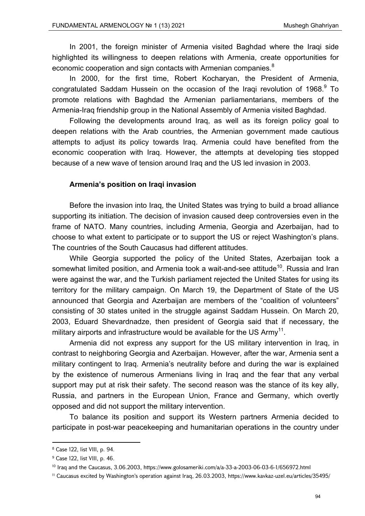In 2001, the foreign minister of Armenia visited Baghdad where the Iraqi side highlighted its willingness to deepen relations with Armenia, create opportunities for economic cooperation and sign contacts with Armenian companies.<sup>8</sup>

In 2000, for the first time, Robert Kocharyan, the President of Armenia, congratulated Saddam Hussein on the occasion of the Iraqi revolution of 1968. $9$  To promote relations with Baghdad the Armenian parliamentarians, members of the Armenia-Iraq friendship group in the National Assembly of Armenia visited Baghdad.

Following the developments around Iraq, as well as its foreign policy goal to deepen relations with the Arab countries, the Armenian government made cautious attempts to adjust its policy towards Iraq. Armenia could have benefited from the economic cooperation with Iraq. However, the attempts at developing ties stopped because of a new wave of tension around Iraq and the US led invasion in 2003.

#### **Armenia's position on Iraqi invasion**

Before the invasion into Iraq, the United States was trying to build a broad alliance supporting its initiation. The decision of invasion caused deep controversies even in the frame of NATO. Many countries, including Armenia, Georgia and Azerbaijan, had to choose to what extent to participate or to support the US or reject Washington's plans. The countries of the South Caucasus had different attitudes.

While Georgia supported the policy of the United States, Azerbaijan took a somewhat limited position, and Armenia took a wait-and-see attitude<sup>10</sup>. Russia and Iran were against the war, and the Turkish parliament rejected the United States for using its territory for the military campaign. On March 19, the Department of State of the US announced that Georgia and Azerbaijan are members of the "coalition of volunteers" consisting of 30 states united in the struggle against Saddam Hussein. On March 20, 2003, Eduard Shevardnadze, then president of Georgia said that if necessary, the military airports and infrastructure would be available for the US  $Army^{11}$ .

Armenia did not express any support for the US military intervention in Iraq, in contrast to neighboring Georgia and Azerbaijan. However, after the war, Armenia sent a military contingent to Iraq. Armenia's neutrality before and during the war is explained by the existence of numerous Armenians living in Iraq and the fear that any verbal support may put at risk their safety. The second reason was the stance of its key ally, Russia, and partners in the European Union, France and Germany, which overtly opposed and did not support the military intervention.

To balance its position and support its Western partners Armenia decided to participate in post-war peacekeeping and humanitarian operations in the country under

<sup>8</sup> Case 122, list VIII, p. 94.

<sup>9</sup> Case 122, list VIII, p. 46.

 $10$  Iraq and the Caucasus, 3.06.2003, https://www.golosameriki.com/a/a-33-a-2003-06-03-6-1/656972.html

<sup>&</sup>lt;sup>11</sup> Caucasus excited by Washington's operation against Iraq, 26.03.2003, https://www.kavkaz-uzel.eu/articles/35495/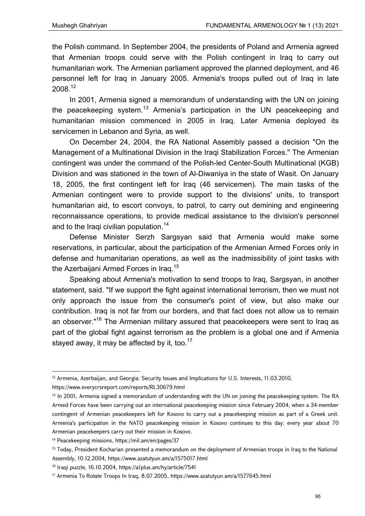the Polish command. In September 2004, the presidents of Poland and Armenia agreed that Armenian troops could serve with the Polish contingent in Iraq to carry out humanitarian work. The Armenian parliament approved the planned deployment, and 46 personnel left for Iraq in January 2005. Armenia's troops pulled out of Iraq in late 2008.<sup>12</sup>

In 2001, Armenia signed a memorandum of understanding with the UN on joining the peacekeeping system.<sup>13</sup> Armenia's participation in the UN peacekeeping and humanitarian mission commenced in 2005 in Iraq. Later Armenia deployed its servicemen in Lebanon and Syria, as well.

On December 24, 2004, the RA National Assembly passed a decision "On the Management of a Multinational Division in the Iraqi Stabilization Forces.'' The Armenian contingent was under the command of the Polish-led Center-South Multinational (KGB) Division and was stationed in the town of Al-Diwaniya in the state of Wasit. On January 18, 2005, the first contingent left for Iraq (46 servicemen). The main tasks of the Armenian contingent were to provide support to the divisions' units, to transport humanitarian aid, to escort convoys, to patrol, to carry out demining and engineering reconnaissance operations, to provide medical assistance to the division's personnel and to the Iraqi civilian population.<sup>14</sup>

Defense Minister Serzh Sargsyan said that Armenia would make some reservations, in particular, about the participation of the Armenian Armed Forces only in defense and humanitarian operations, as well as the inadmissibility of joint tasks with the Azerbaijani Armed Forces in Iraq.<sup>15</sup>

Speaking about Armenia's motivation to send troops to Iraq, Sargsyan, in another statement, said. "If we support the fight against international terrorism, then we must not only approach the issue from the consumer's point of view, but also make our contribution. Iraq is not far from our borders, and that fact does not allow us to remain an observer."<sup>16</sup> The Armenian military assured that peacekeepers were sent to Iraq as part of the global fight against terrorism as the problem is a global one and if Armenia stayed away, it may be affected by it, too.<sup>17</sup>

<sup>&</sup>lt;sup>12</sup> Armenia, Azerbaijan, and Georgia: Security Issues and Implications for U.S. Interests, 11.03.2010,

https://www.everycrsreport.com/reports/RL30679.html

<sup>&</sup>lt;sup>13</sup> In 2001, Armenia signed a memorandum of understanding with the UN on joining the peacekeeping system. The RA Armed Forces have been carrying out an international peacekeeping mission since February 2004, when a 34-member contingent of Armenian peacekeepers left for Kosovo to carry out a peacekeeping mission as part of a Greek unit. Armenia's participation in the NATO peacekeeping mission in Kosovo continues to this day: every year about 70 Armenian peacekeepers carry out their mission in Kosovo.

<sup>14</sup> Peacekeeping missions, https://mil.am/en/pages/37

<sup>&</sup>lt;sup>15</sup> Today, President Kocharian presented a memorandum on the deployment of Armenian troops in Iraq to the National Assembly, 10.12.2004, https://www.azatutyun.am/a/1575017.html

<sup>16</sup> Iraqi puzzle, 16.10.2004, https://a1plus.am/hy/article/7541

<sup>17</sup> Armenia To Rotate Troops In Iraq, 8.07.2005, https://www.azatutyun.am/a/1577645.html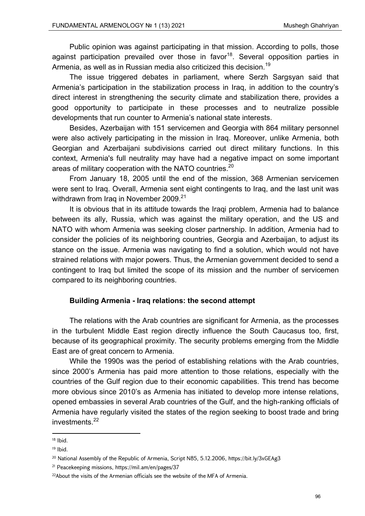Public opinion was against participating in that mission. According to polls, those against participation prevailed over those in favor<sup>18</sup>. Several opposition parties in Armenia, as well as in Russian media also criticized this decision.<sup>19</sup>

The issue triggered debates in parliament, where Serzh Sargsyan said that Armenia's participation in the stabilization process in Iraq, in addition to the country's direct interest in strengthening the security climate and stabilization there, provides a good opportunity to participate in these processes and to neutralize possible developments that run counter to Armenia's national state interests.

Besides, Azerbaijan with 151 servicemen and Georgia with 864 military personnel were also actively participating in the mission in Iraq. Moreover, unlike Armenia, both Georgian and Azerbaijani subdivisions carried out direct military functions. In this context, Armenia's full neutrality may have had a negative impact on some important areas of military cooperation with the NATO countries.<sup>20</sup>

From January 18, 2005 until the end of the mission, 368 Armenian servicemen were sent to Iraq. Overall, Armenia sent eight contingents to Iraq, and the last unit was withdrawn from Iraq in November 2009.<sup>21</sup>

It is obvious that in its attitude towards the Iraqi problem, Armenia had to balance between its ally, Russia, which was against the military operation, and the US and NATO with whom Armenia was seeking closer partnership. In addition, Armenia had to consider the policies of its neighboring countries, Georgia and Azerbaijan, to adjust its stance on the issue. Armenia was navigating to find a solution, which would not have strained relations with major powers. Thus, the Armenian government decided to send a contingent to Iraq but limited the scope of its mission and the number of servicemen compared to its neighboring countries.

## **Building Armenia - Iraq relations: the second attempt**

The relations with the Arab countries are significant for Armenia, as the processes in the turbulent Middle East region directly influence the South Caucasus too, first, because of its geographical proximity. The security problems emerging from the Middle East are of great concern to Armenia.

While the 1990s was the period of establishing relations with the Arab countries, since 2000's Armenia has paid more attention to those relations, especially with the countries of the Gulf region due to their economic capabilities. This trend has become more obvious since 2010's as Armenia has initiated to develop more intense relations, opened embassies in several Arab countries of the Gulf, and the high-ranking officials of Armenia have regularly visited the states of the region seeking to boost trade and bring investments. $22$ 

 $18$  Ibid.

<sup>19</sup> Ibid.

<sup>&</sup>lt;sup>20</sup> National Assembly of the Republic of Armenia, Script N85, 5.12.2006, https://bit.ly/3xGEAg3

<sup>21</sup> Peacekeeping missions, https://mil.am/en/pages/37

<sup>&</sup>lt;sup>22</sup>About the visits of the Armenian officials see the website of the MFA of Armenia.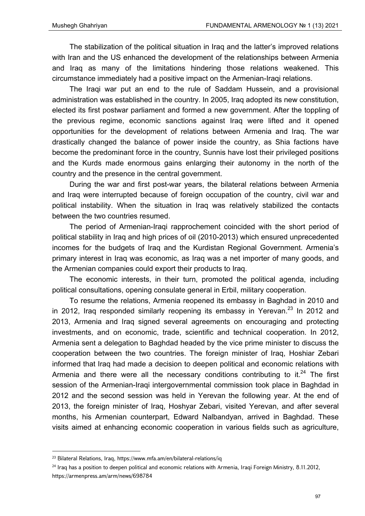The stabilization of the political situation in Iraq and the latter's improved relations with Iran and the US enhanced the development of the relationships between Armenia and Iraq as many of the limitations hindering those relations weakened. This circumstance immediately had a positive impact on the Armenian-Iraqi relations.

The Iraqi war put an end to the rule of Saddam Hussein, and a provisional administration was established in the country. In 2005, Iraq adopted its new constitution, elected its first postwar parliament and formed a new government. After the toppling of the previous regime, economic sanctions against Iraq were lifted and it opened opportunities for the development of relations between Armenia and Iraq. The war drastically changed the balance of power inside the country, as Shia factions have become the predominant force in the country, Sunnis have lost their privileged positions and the Kurds made enormous gains enlarging their autonomy in the north of the country and the presence in the central government.

During the war and first post-war years, the bilateral relations between Armenia and Iraq were interrupted because of foreign occupation of the country, civil war and political instability. When the situation in Iraq was relatively stabilized the contacts between the two countries resumed.

The period of Armenian-Iraqi rapprochement coincided with the short period of political stability in Iraq and high prices of oil (2010-2013) which ensured unprecedented incomes for the budgets of Iraq and the Kurdistan Regional Government. Armenia's primary interest in Iraq was economic, as Iraq was a net importer of many goods, and the Armenian companies could export their products to Iraq.

The economic interests, in their turn, promoted the political agenda, including political consultations, opening consulate general in Erbil, military cooperation.

To resume the relations, Armenia reopened its embassy in Baghdad in 2010 and in 2012, Iraq responded similarly reopening its embassy in Yerevan.<sup>23</sup> In 2012 and 2013, Armenia and Iraq signed several agreements on encouraging and protecting investments, and on economic, trade, scientific and technical cooperation. In 2012, Armenia sent a delegation to Baghdad headed by the vice prime minister to discuss the cooperation between the two countries. The foreign minister of Iraq, Hoshiar Zebari informed that Iraq had made a decision to deepen political and economic relations with Armenia and there were all the necessary conditions contributing to it. $24$  The first session of the Armenian-Iraqi intergovernmental commission took place in Baghdad in 2012 and the second session was held in Yerevan the following year. At the end of 2013, the foreign minister of Iraq, Hoshyar Zebari, visited Yerevan, and after several months, his Armenian counterpart, Edward Nalbandyan, arrived in Baghdad. These visits aimed at enhancing economic cooperation in various fields such as agriculture,

<sup>23</sup> Bilateral Relations, Iraq, https://www.mfa.am/en/bilateral-relations/iq

 $24$  Iraq has a position to deepen political and economic relations with Armenia, Iraqi Foreign Ministry, 8.11.2012, https://armenpress.am/arm/news/698784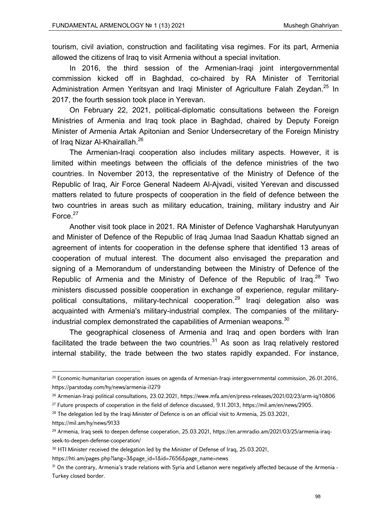tourism, civil aviation, construction and facilitating visa regimes. For its part, Armenia allowed the citizens of Iraq to visit Armenia without a special invitation.

In 2016, the third session of the Armenian-Iraqi joint intergovernmental commission kicked off in Baghdad, co-chaired by RA Minister of Territorial Administration Armen Yeritsyan and Iraqi Minister of Agriculture Falah Zeydan.<sup>25</sup> In 2017, the fourth session took place in Yerevan.

On February 22, 2021, political-diplomatic consultations between the Foreign Ministries of Armenia and Iraq took place in Baghdad, chaired by Deputy Foreign Minister of Armenia Artak Apitonian and Senior Undersecretary of the Foreign Ministry of Iraq Nizar Al-Khairallah.<sup>26</sup>

The Armenian-Iraqi cooperation also includes military aspects. However, it is limited within meetings between the officials of the defence ministries of the two countries. In November 2013, the representative of the Ministry of Defence of the Republic of Iraq, Air Force General Nadeem Al-Ajvadi, visited Yerevan and discussed matters related to future prospects of cooperation in the field of defence between the two countries in areas such as military education, training, military industry and Air Force.<sup>27</sup>

Another visit took place in 2021. RA Minister of Defence Vagharshak Harutyunyan and Minister of Defence of the Republic of Iraq Jumaa Inad Saadun Khattab signed an agreement of intents for cooperation in the defense sphere that identified 13 areas of cooperation of mutual interest. The document also envisaged the preparation and signing of a Memorandum of understanding between the Ministry of Defence of the Republic of Armenia and the Ministry of Defence of the Republic of Iraq.<sup>28</sup> Two ministers discussed possible cooperation in exchange of experience, regular militarypolitical consultations, military-technical cooperation.<sup>29</sup> Iraqi delegation also was acquainted with Armenia's military-industrial complex. The companies of the militaryindustrial complex demonstrated the capabilities of Armenian weapons.<sup>30</sup>

The geographical closeness of Armenia and Iraq and open borders with Iran facilitated the trade between the two countries. $31$  As soon as Iraq relatively restored internal stability, the trade between the two states rapidly expanded. For instance,

https://mil.am/hy/news/9133

https://hti.am/pages.php?lang=3&page\_id=1&id=7656&page\_name=news

<sup>&</sup>lt;sup>25</sup> Economic-humanitarian cooperation issues on agenda of Armenian-Iraqi intergovernmental commission, 26.01.2016, https://parstoday.com/hy/news/armenia-i1279

<sup>26</sup> Armenian-Iraqi political consultations, 23.02.2021, https://www.mfa.am/en/press-releases/2021/02/23/arm-iq/10806

<sup>27</sup> Future prospects of cooperation in the field of defence discussed, 9.11.2013, https://mil.am/en/news/2905.

<sup>&</sup>lt;sup>28</sup> The delegation led by the Iraqi Minister of Defence is on an official visit to Armenia, 25.03.2021,

<sup>&</sup>lt;sup>29</sup> Armenia, Iraq seek to deepen defense cooperation, 25.03.2021, https://en.armradio.am/2021/03/25/armenia-iraqseek-to-deepen-defense-cooperation/

<sup>&</sup>lt;sup>30</sup> HTI Minister received the delegation led by the Minister of Defense of Iraq, 25.03.2021,

<sup>&</sup>lt;sup>31</sup> On the contrary, Armenia's trade relations with Syria and Lebanon were negatively affected because of the Armenia -Turkey closed border.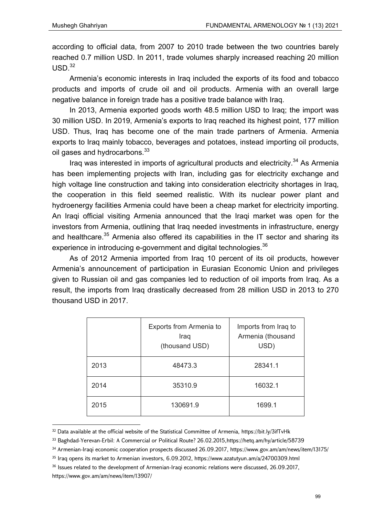according to official data, from 2007 to 2010 trade between the two countries barely reached 0.7 million USD. In 2011, trade volumes sharply increased reaching 20 million  $USD<sup>32</sup>$ 

Armenia's economic interests in Iraq included the exports of its food and tobacco products and imports of crude oil and oil products. Armenia with an overall large negative balance in foreign trade has a positive trade balance with Iraq.

In 2013, Armenia exported goods worth 48.5 million USD to Iraq; the import was 30 million USD. In 2019, Armenia's exports to Iraq reached its highest point, 177 million USD. Thus, Iraq has become one of the main trade partners of Armenia. Armenia exports to Iraq mainly tobacco, beverages and potatoes, instead importing oil products, oil gases and hydrocarbons.<sup>33</sup>

Iraq was interested in imports of agricultural products and electricity.<sup>34</sup> As Armenia has been implementing projects with Iran, including gas for electricity exchange and high voltage line construction and taking into consideration electricity shortages in Iraq, the cooperation in this field seemed realistic. With its nuclear power plant and hydroenergy facilities Armenia could have been a cheap market for electricity importing. An Iraqi official visiting Armenia announced that the Iraqi market was open for the investors from Armenia, outlining that Iraq needed investments in infrastructure, energy and healthcare.<sup>35</sup> Armenia also offered its capabilities in the IT sector and sharing its experience in introducing e-government and digital technologies. $^{36}$ 

As of 2012 Armenia imported from Iraq 10 percent of its oil products, however Armenia's announcement of participation in Eurasian Economic Union and privileges given to Russian oil and gas companies led to reduction of oil imports from Iraq. As a result, the imports from Iraq drastically decreased from 28 million USD in 2013 to 270 thousand USD in 2017.

|      | Exports from Armenia to<br>Iraq<br>(thousand USD) | Imports from Iraq to<br>Armenia (thousand<br>USD) |
|------|---------------------------------------------------|---------------------------------------------------|
| 2013 | 48473.3                                           | 28341.1                                           |
| 2014 | 35310.9                                           | 16032.1                                           |
| 2015 | 130691.9                                          | 1699.1                                            |

<sup>32</sup> Data available at the official website of the Statistical Committee of Armenia, https://bit.ly/3ifTvHk

<sup>33</sup> Baghdad-Yerevan-Erbil: A Commercial or Political Route? 26.02.2015,https://hetq.am/hy/article/58739

<sup>34</sup> Armenian-Iraqi economic cooperation prospects discussed 26.09.2017, https://www.gov.am/am/news/item/13175/

<sup>35</sup> Iraq opens its market to Armenian investors, 6.09.2012, https://www.azatutyun.am/a/24700309.html

<sup>&</sup>lt;sup>36</sup> Issues related to the development of Armenian-Iraqi economic relations were discussed, 26.09.2017,

https://www.gov.am/am/news/item/13907/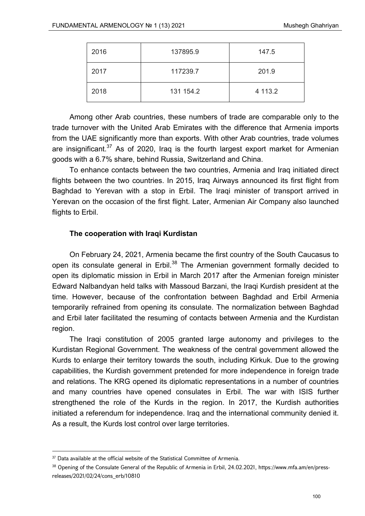| 2016 | 137895.9  | 147.5   |
|------|-----------|---------|
| 2017 | 117239.7  | 201.9   |
| 2018 | 131 154.2 | 4 113.2 |

Among other Arab countries, these numbers of trade are comparable only to the trade turnover with the United Arab Emirates with the difference that Armenia imports from the UAE significantly more than exports. With other Arab countries, trade volumes are insignificant.<sup>37</sup> As of 2020, Iraq is the fourth largest export market for Armenian goods with a 6.7% share, behind Russia, Switzerland and China.

To enhance contacts between the two countries, Armenia and Iraq initiated direct flights between the two countries. In 2015, Iraq Airways announced its first flight from Baghdad to Yerevan with a stop in Erbil. The Iraqi minister of transport arrived in Yerevan on the occasion of the first flight. Later, Armenian Air Company also launched flights to Erbil.

## **The cooperation with Iraqi Kurdistan**

On February 24, 2021, Armenia became the first country of the South Caucasus to open its consulate general in Erbil.<sup>38</sup> The Armenian government formally decided to open its diplomatic mission in Erbil in March 2017 after the Armenian foreign minister Edward Nalbandyan held talks with Massoud Barzani, the Iraqi Kurdish president at the time. However, because of the confrontation between Baghdad and Erbil Armenia temporarily refrained from opening its consulate. The normalization between Baghdad and Erbil later facilitated the resuming of contacts between Armenia and the Kurdistan region.

The Iraqi constitution of 2005 granted large autonomy and privileges to the Kurdistan Regional Government. The weakness of the central government allowed the Kurds to enlarge their territory towards the south, including Kirkuk. Due to the growing capabilities, the Kurdish government pretended for more independence in foreign trade and relations. The KRG opened its diplomatic representations in a number of countries and many countries have opened consulates in Erbil. The war with ISIS further strengthened the role of the Kurds in the region. In 2017, the Kurdish authorities initiated a referendum for independence. Iraq and the international community denied it. As a result, the Kurds lost control over large territories.

<sup>&</sup>lt;sup>37</sup> Data available at the official website of the Statistical Committee of Armenia.

<sup>38</sup> Opening of the Consulate General of the Republic of Armenia in Erbil, 24.02.2021, https://www.mfa.am/en/pressreleases/2021/02/24/cons\_erb/10810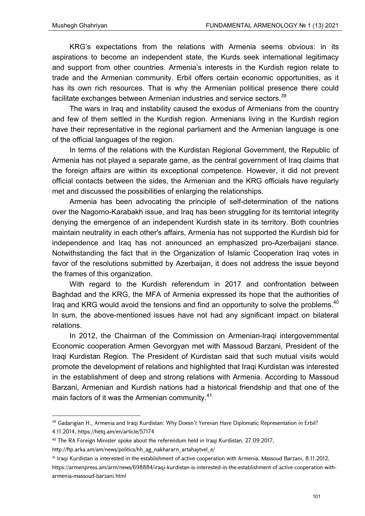KRG's expectations from the relations with Armenia seems obvious: in its aspirations to become an independent state, the Kurds seek international legitimacy and support from other countries. Armenia's interests in the Kurdish region relate to trade and the Armenian community. Erbil offers certain economic opportunities, as it has its own rich resources. That is why the Armenian political presence there could facilitate exchanges between Armenian industries and service sectors.<sup>39</sup>

The wars in Iraq and instability caused the exodus of Armenians from the country and few of them settled in the Kurdish region. Armenians living in the Kurdish region have their representative in the regional parliament and the Armenian language is one of the official languages of the region.

In terms of the relations with the Kurdistan Regional Government, the Republic of Armenia has not played a separate game, as the central government of Iraq claims that the foreign affairs are within its exceptional competence. However, it did not prevent official contacts between the sides, the Armenian and the KRG officials have regularly met and discussed the possibilities of enlarging the relationships.

Armenia has been advocating the principle of self-determination of the nations over the Nagorno-Karabakh issue, and Iraq has been struggling for its territorial integrity denying the emergence of an independent Kurdish state in its territory. Both countries maintain neutrality in each other's affairs, Armenia has not supported the Kurdish bid for independence and Iraq has not announced an emphasized pro-Azerbaijani stance. Notwithstanding the fact that in the Organization of Islamic Cooperation Iraq votes in favor of the resolutions submitted by Azerbaijan, it does not address the issue beyond the frames of this organization.

With regard to the Kurdish referendum in 2017 and confrontation between Baghdad and the KRG, the MFA of Armenia expressed its hope that the authorities of Irag and KRG would avoid the tensions and find an opportunity to solve the problems.<sup>40</sup> In sum, the above-mentioned issues have not had any significant impact on bilateral relations.

In 2012, the Chairman of the Commission on Armenian-Iraqi intergovernmental Economic cooperation Armen Gevorgyan met with Massoud Barzani, President of the Iraqi Kurdistan Region. The President of Kurdistan said that such mutual visits would promote the development of relations and highlighted that Iraqi Kurdistan was interested in the establishment of deep and strong relations with Armenia. According to Massoud Barzani, Armenian and Kurdish nations had a historical friendship and that one of the main factors of it was the Armenian community.<sup>41</sup>

https://armenpress.am/arm/news/698884/iraqi-kurdistan-is-interested-in-the-establishment-of-active-cooperation-witharmenia-massoud-barzani.html

<sup>&</sup>lt;sup>39</sup> Gadarigian H., Armenia and Iraqi Kurdistan: Why Doesn't Yerevan Have Diplomatic Representation in Erbil? 4.11.2014, https://hetq.am/en/article/57174

<sup>&</sup>lt;sup>40</sup> The RA Foreign Minister spoke about the referendum held in Iraqi Kurdistan, 27.09.2017,

http://ftp.arka.am/am/news/politics/hh\_ag\_nakhararn\_artahaytvel\_e/

<sup>41</sup> Iraqi Kurdistan is interested in the establishment of active cooperation with Armenia. Massoud Barzani, 8.11.2012,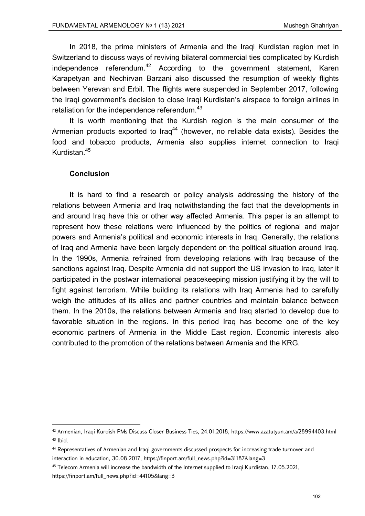In 2018, the prime ministers of Armenia and the Iraqi Kurdistan region met in Switzerland to discuss ways of reviving bilateral commercial ties complicated by Kurdish independence referendum. $42$  According to the government statement, Karen Karapetyan and Nechirvan Barzani also discussed the resumption of weekly flights between Yerevan and Erbil. The flights were suspended in September 2017, following the Iraqi government's decision to close Iraqi Kurdistan's airspace to foreign airlines in retaliation for the independence referendum.<sup>43</sup>

It is worth mentioning that the Kurdish region is the main consumer of the Armenian products exported to  $\text{I} \text{raq}^{44}$  (however, no reliable data exists). Besides the food and tobacco products, Armenia also supplies internet connection to Iraqi Kurdistan.<sup>45</sup>

### **Conclusion**

It is hard to find a research or policy analysis addressing the history of the relations between Armenia and Iraq notwithstanding the fact that the developments in and around Iraq have this or other way affected Armenia. This paper is an attempt to represent how these relations were influenced by the politics of regional and major powers and Armenia's political and economic interests in Iraq. Generally, the relations of Iraq and Armenia have been largely dependent on the political situation around Iraq. In the 1990s, Armenia refrained from developing relations with Iraq because of the sanctions against Iraq. Despite Armenia did not support the US invasion to Iraq, later it participated in the postwar international peacekeeping mission justifying it by the will to fight against terrorism. While building its relations with Iraq Armenia had to carefully weigh the attitudes of its allies and partner countries and maintain balance between them. In the 2010s, the relations between Armenia and Iraq started to develop due to favorable situation in the regions. In this period Iraq has become one of the key economic partners of Armenia in the Middle East region. Economic interests also contributed to the promotion of the relations between Armenia and the KRG.

<sup>42</sup> Armenian, Iraqi Kurdish PMs Discuss Closer Business Ties, 24.01.2018, https://www.azatutyun.am/a/28994403.html  $43$  Ibid.

<sup>44</sup> Representatives of Armenian and Iraqi governments discussed prospects for increasing trade turnover and interaction in education, 30.08.2017, https://finport.am/full\_news.php?id=31187&lang=3

<sup>45</sup> Telecom Armenia will increase the bandwidth of the Internet supplied to Iraqi Kurdistan, 17.05.2021, https://finport.am/full\_news.php?id=44105&lang=3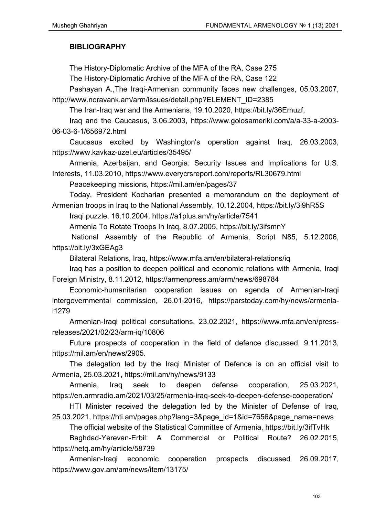# **BIBLIOGRAPHY**

The History-Diplomatic Archive of the MFA of the RA, Case 275

The History-Diplomatic Archive of the MFA of the RA, Case 122

Pashayan A.,The Iraqi-Armenian community faces new challenges, 05.03.2007, http://www.noravank.am/arm/issues/detail.php?ELEMENT\_ID=2385

The Iran-Iraq war and the Armenians, 19.10.2020, https://bit.ly/36Emuzf,

Iraq and the Caucasus, 3.06.2003, https://www.golosameriki.com/a/a-33-a-2003- 06-03-6-1/656972.html

Caucasus excited by Washington's operation against Iraq, 26.03.2003, https://www.kavkaz-uzel.eu/articles/35495/

Armenia, Azerbaijan, and Georgia: Security Issues and Implications for U.S. Interests, 11.03.2010, https://www.everycrsreport.com/reports/RL30679.html

Peacekeeping missions, https://mil.am/en/pages/37

Today, President Kocharian presented a memorandum on the deployment of Armenian troops in Iraq to the National Assembly, 10.12.2004, https://bit.ly/3i9hR5S

Iraqi puzzle, 16.10.2004, https://a1plus.am/hy/article/7541

Armenia To Rotate Troops In Iraq, 8.07.2005, https://bit.ly/3ifsmnY

 National Assembly of the Republic of Armenia, Script N85, 5.12.2006, https://bit.ly/3xGEAg3

Bilateral Relations, Iraq, https://www.mfa.am/en/bilateral-relations/iq

Iraq has a position to deepen political and economic relations with Armenia, Iraqi Foreign Ministry, 8.11.2012, https://armenpress.am/arm/news/698784

Economic-humanitarian cooperation issues on agenda of Armenian-Iraqi intergovernmental commission, 26.01.2016, https://parstoday.com/hy/news/armeniai1279

Armenian-Iraqi political consultations, 23.02.2021, https://www.mfa.am/en/pressreleases/2021/02/23/arm-iq/10806

Future prospects of cooperation in the field of defence discussed, 9.11.2013, https://mil.am/en/news/2905.

The delegation led by the Iraqi Minister of Defence is on an official visit to Armenia, 25.03.2021, https://mil.am/hy/news/9133

Armenia, Iraq seek to deepen defense cooperation, 25.03.2021, https://en.armradio.am/2021/03/25/armenia-iraq-seek-to-deepen-defense-cooperation/

HTI Minister received the delegation led by the Minister of Defense of Iraq, 25.03.2021, https://hti.am/pages.php?lang=3&page\_id=1&id=7656&page\_name=news

The official website of the Statistical Committee of Armenia, https://bit.ly/3ifTvHk

Baghdad-Yerevan-Erbil: A Commercial or Political Route? 26.02.2015, https://hetq.am/hy/article/58739

Armenian-Iraqi economic cooperation prospects discussed 26.09.2017, https://www.gov.am/am/news/item/13175/